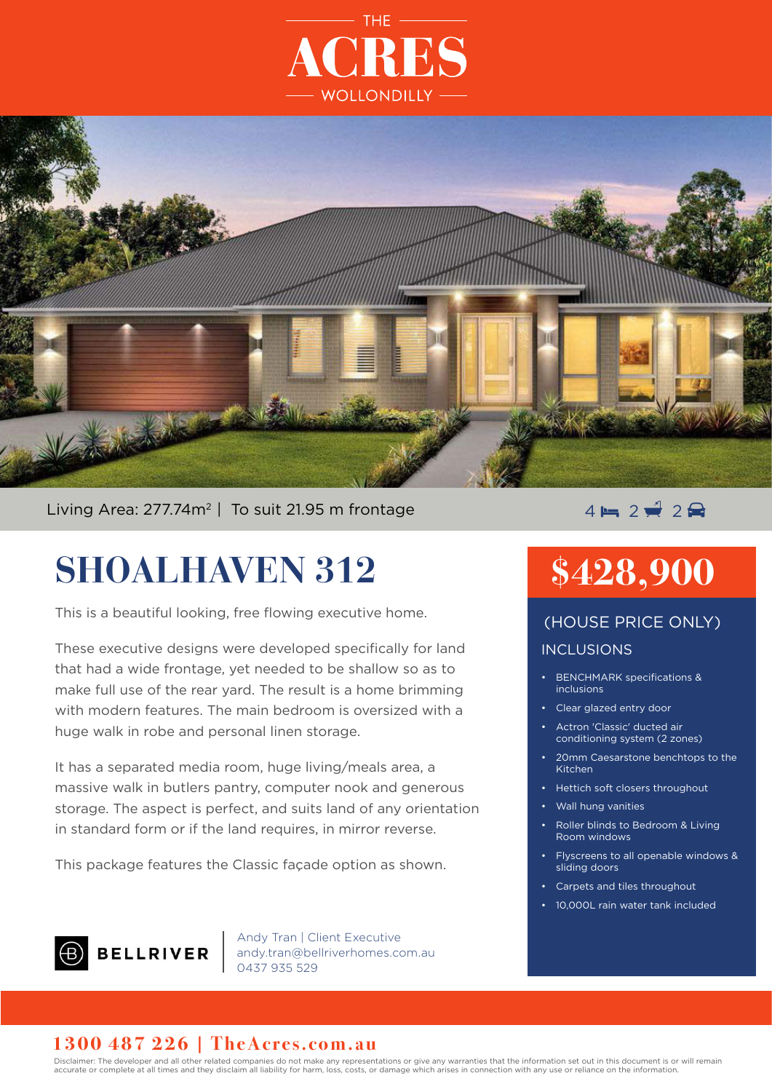



Living Area: 277.74m<sup>2</sup> | To suit 21.95 m frontage  $\overline{4} = 2 \frac{1}{2} 2 \frac{1}{2}$ 

# **SHOALHAVEN 312**

This is a beautiful looking, free flowing executive home.

These executive designs were developed specifically for land that had a wide frontage, yet needed to be shallow so as to make full use of the rear yard. The result is a home brimming with modern features. The main bedroom is oversized with a huge walk in robe and personal linen storage.

It has a separated media room, huge living/meals area, a massive walk in butlers pantry, computer nook and generous storage. The aspect is perfect, and suits land of any orientation in standard form or if the land requires, in mirror reverse.

This package features the Classic façade option as shown.

- 
- 10,000L rain water tank included



Andy Tran | Client Executive andy.tran@bellriverhomes.com.au ے میں ہیں<br>0437 935 529

### **1300 487 226 | TheAcres.com.au**

Disclaimer: The developer and all other related companies do not make any representations or give any warranties that the information set out in this document is or will remain accurate or complete at all times and they disclaim all liability for harm, loss, costs, or damage which arises in connection with any use or reliance on the information.

# **\$428,900**

### (HOUSE PRICE ONLY)

#### INCLUSIONS

- BENCHMARK specifications & inclusions
- Clear glazed entry door
- Actron 'Classic' ducted air conditioning system (2 zones)
- 20mm Caesarstone benchtops to the Kitchen
- Hettich soft closers throughout
- Wall hung vanities
- Roller blinds to Bedroom & Living Room windows

• Flyscreens to all openable windows &

sliding doors • Carpets and tiles throughout